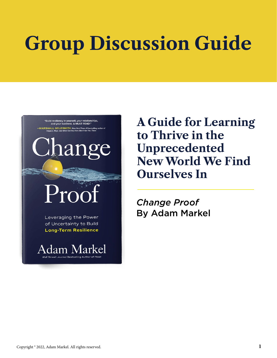# **Group Discussion Guide**

"Build resiliency in yourself, your relationships,<br>and your business. A MUST READ!" **IARSHALL GOLDSMITH, New York Times #1 bestselling author of**<br>Triggers, Molo, and What Got You Here Won't Got You There

hang

Leveraging the Power of Uncertainty to Build **Long-Term Resilience** 

**Adam Markel** 

**A Guide for Learning to Thrive in the Unprecedented New World We Find Ourselves In**

*Change Proof* By Adam Markel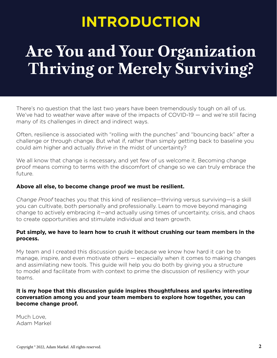## **INTRODUCTION**

# **Are You and Your Organization Thriving or Merely Surviving?**

There's no question that the last two years have been tremendously tough on all of us. We've had to weather wave after wave of the impacts of COVID-19 – and we're still facing many of its challenges in direct and indirect ways.

Often, resilience is associated with "rolling with the punches" and "bouncing back" after a challenge or through change. But what if, rather than simply getting back to baseline you could aim higher and actually *thrive* in the midst of uncertainty?

We all know that change is necessary, and yet few of us welcome it. Becoming change proof means coming to terms with the discomfort of change so we can truly embrace the future.

#### **Above all else, to become change proof we must be resilient.**

*Change Proof* teaches you that this kind of resilience—thriving versus surviving—is a skill you can cultivate, both personally and professionally. Learn to move beyond managing change to actively embracing it—and actually using times of uncertainty, crisis, and chaos to create opportunities and stimulate individual and team growth.

#### **Put simply, we have to learn how to crush it without crushing our team members in the process.**

My team and I created this discussion guide because we know how hard it can be to manage, inspire, and even motivate others — especially when it comes to making changes and assimilating new tools. This guide will help you do both by giving you a structure to model and facilitate from with context to prime the discussion of resiliency with your teams.

#### **It is my hope that this discussion guide inspires thoughtfulness and sparks interesting conversation among you and your team members to explore how together, you can become change proof.**

Much Love, Adam Markel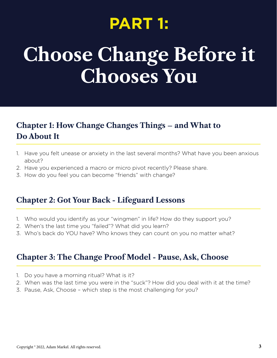# **PART 1:**

# **Choose Change Before it Chooses You**

## **Chapter 1: How Change Changes Things – and What to Do About It**

- 1. Have you felt unease or anxiety in the last several months? What have you been anxious about?
- 2. Have you experienced a macro or micro pivot recently? Please share.
- 3. How do you feel you can become "friends" with change?

### **Chapter 2: Got Your Back - Lifeguard Lessons**

- 1. Who would you identify as your "wingmen" in life? How do they support you?
- 2. When's the last time you "failed"? What did you learn?
- 3. Who's back do YOU have? Who knows they can count on you no matter what?

### **Chapter 3: The Change Proof Model - Pause, Ask, Choose**

- 1. Do you have a morning ritual? What is it?
- 2. When was the last time you were in the "suck"? How did you deal with it at the time?
- 3. Pause, Ask, Choose which step is the most challenging for you?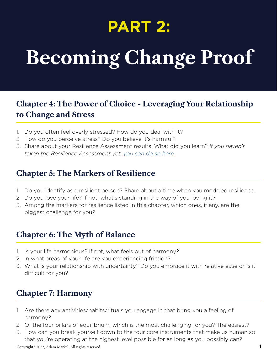# **PART 2:**

# **Becoming Change Proof**

## **Chapter 4: The Power of Choice - Leveraging Your Relationship to Change and Stress**

- 1. Do you often feel overly stressed? How do you deal with it?
- 2. How do you perceive stress? Do you believe it's harmful?
- 3. Share about your Resilience Assessment results. What did you learn? *If you haven't taken the Resilience Assessment yet, [you can do so here.](https://resiliencerank.com/changeproof/)*

### **Chapter 5: The Markers of Resilience**

- 1. Do you identify as a resilient person? Share about a time when you modeled resilience.
- 2. Do you love your life? If not, what's standing in the way of you loving it?
- 3. Among the markers for resilience listed in this chapter, which ones, if any, are the biggest challenge for you?

### **Chapter 6: The Myth of Balance**

- 1. Is your life harmonious? If not, what feels out of harmony?
- 2. In what areas of your life are you experiencing friction?
- 3. What is your relationship with uncertainty? Do you embrace it with relative ease or is it difficult for you?

### **Chapter 7: Harmony**

- 1. Are there any activities/habits/rituals you engage in that bring you a feeling of harmony?
- 2. Of the four pillars of equilibrium, which is the most challenging for you? The easiest?
- 3. How can you break yourself down to the four core instruments that make us human so that you're operating at the highest level possible for as long as you possibly can?

Copyright ® 2022, Adam Markel. All rights reserved. **4**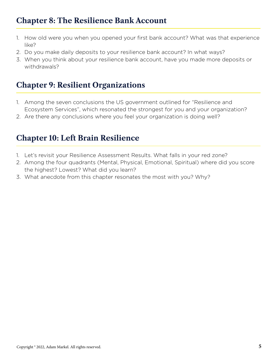## **Chapter 8: The Resilience Bank Account**

- 1. How old were you when you opened your first bank account? What was that experience like?
- 2. Do you make daily deposits to your resilience bank account? In what ways?
- 3. When you think about your resilience bank account, have you made more deposits or withdrawals?

### **Chapter 9: Resilient Organizations**

- 1. Among the seven conclusions the US government outlined for "Resilience and Ecosystem Services", which resonated the strongest for you and your organization?
- 2. Are there any conclusions where you feel your organization is doing well?

### **Chapter 10: Left Brain Resilience**

- 1. Let's revisit your Resilience Assessment Results. What falls in your red zone?
- 2. Among the four quadrants (Mental, Physical, Emotional, Spiritual) where did you score the highest? Lowest? What did you learn?
- 3. What anecdote from this chapter resonates the most with you? Why?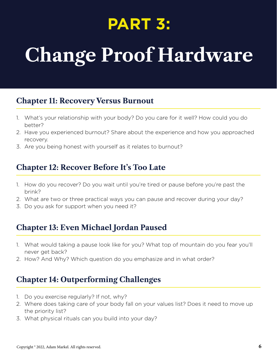# **PART 3:**

# **Change Proof Hardware**

### **Chapter 11: Recovery Versus Burnout**

- 1. What's your relationship with your body? Do you care for it well? How could you do better?
- 2. Have you experienced burnout? Share about the experience and how you approached recovery.
- 3. Are you being honest with yourself as it relates to burnout?

### **Chapter 12: Recover Before It's Too Late**

- 1. How do you recover? Do you wait until you're tired or pause before you're past the brink?
- 2. What are two or three practical ways you can pause and recover during your day?
- 3. Do you ask for support when you need it?

### **Chapter 13: Even Michael Jordan Paused**

- 1. What would taking a pause look like for you? What top of mountain do you fear you'll never get back?
- 2. How? And Why? Which question do you emphasize and in what order?

### **Chapter 14: Outperforming Challenges**

- 1. Do you exercise regularly? If not, why?
- 2. Where does taking care of your body fall on your values list? Does it need to move up the priority list?
- 3. What physical rituals can you build into your day?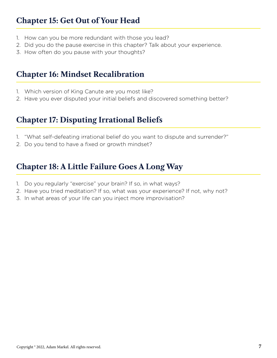### **Chapter 15: Get Out of Your Head**

- 1. How can you be more redundant with those you lead?
- 2. Did you do the pause exercise in this chapter? Talk about your experience.
- 3. How often do you pause with your thoughts?

### **Chapter 16: Mindset Recalibration**

- 1. Which version of King Canute are you most like?
- 2. Have you ever disputed your initial beliefs and discovered something better?

### **Chapter 17: Disputing Irrational Beliefs**

- 1. "What self-defeating irrational belief do you want to dispute and surrender?"
- 2. Do you tend to have a fixed or growth mindset?

### **Chapter 18: A Little Failure Goes A Long Way**

- 1. Do you regularly "exercise" your brain? If so, in what ways?
- 2. Have you tried meditation? If so, what was your experience? If not, why not?
- 3. In what areas of your life can you inject more improvisation?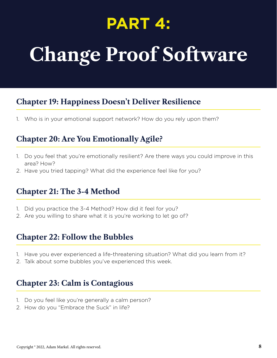# **PART 4:**

# **Change Proof Software**

### **Chapter 19: Happiness Doesn't Deliver Resilience**

1. Who is in your emotional support network? How do you rely upon them?

### **Chapter 20: Are You Emotionally Agile?**

- 1. Do you feel that you're emotionally resilient? Are there ways you could improve in this area? How?
- 2. Have you tried tapping? What did the experience feel like for you?

### **Chapter 21: The 3-4 Method**

- 1. Did you practice the 3-4 Method? How did it feel for you?
- 2. Are you willing to share what it is you're working to let go of?

### **Chapter 22: Follow the Bubbles**

- 1. Have you ever experienced a life-threatening situation? What did you learn from it?
- 2. Talk about some bubbles you've experienced this week.

### **Chapter 23: Calm is Contagious**

- 1. Do you feel like you're generally a calm person?
- 2. How do you "Embrace the Suck" in life?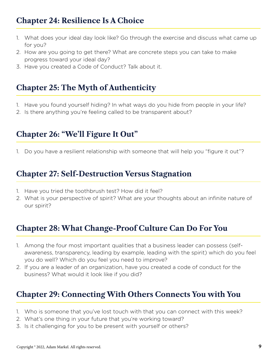### **Chapter 24: Resilience Is A Choice**

- 1. What does your ideal day look like? Go through the exercise and discuss what came up for you?
- 2. How are you going to get there? What are concrete steps you can take to make progress toward your ideal day?
- 3. Have you created a Code of Conduct? Talk about it.

### **Chapter 25: The Myth of Authenticity**

- 1. Have you found yourself hiding? In what ways do you hide from people in your life?
- 2. Is there anything you're feeling called to be transparent about?

### **Chapter 26: "We'll Figure It Out"**

1. Do you have a resilient relationship with someone that will help you "figure it out"?

### **Chapter 27: Self-Destruction Versus Stagnation**

- 1. Have you tried the toothbrush test? How did it feel?
- 2. What is your perspective of spirit? What are your thoughts about an infinite nature of our spirit?

### **Chapter 28: What Change-Proof Culture Can Do For You**

- 1. Among the four most important qualities that a business leader can possess (selfawareness, transparency, leading by example, leading with the spirit) which do you feel you do well? Which do you feel you need to improve?
- 2. If you are a leader of an organization, have you created a code of conduct for the business? What would it look like if you did?

### **Chapter 29: Connecting With Others Connects You with You**

- 1. Who is someone that you've lost touch with that you can connect with this week?
- 2. What's one thing in your future that you're working toward?
- 3. Is it challenging for you to be present with yourself or others?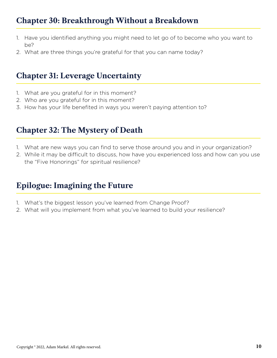## **Chapter 30: Breakthrough Without a Breakdown**

- 1. Have you identified anything you might need to let go of to become who you want to be?
- 2. What are three things you're grateful for that you can name today?

### **Chapter 31: Leverage Uncertainty**

- 1. What are you grateful for in this moment?
- 2. Who are you grateful for in this moment?
- 3. How has your life benefited in ways you weren't paying attention to?

### **Chapter 32: The Mystery of Death**

- 1. What are new ways you can find to serve those around you and in your organization?
- 2. While it may be difficult to discuss, how have you experienced loss and how can you use the "Five Honorings" for spiritual resilience?

### **Epilogue: Imagining the Future**

- 1. What's the biggest lesson you've learned from Change Proof?
- 2. What will you implement from what you've learned to build your resilience?